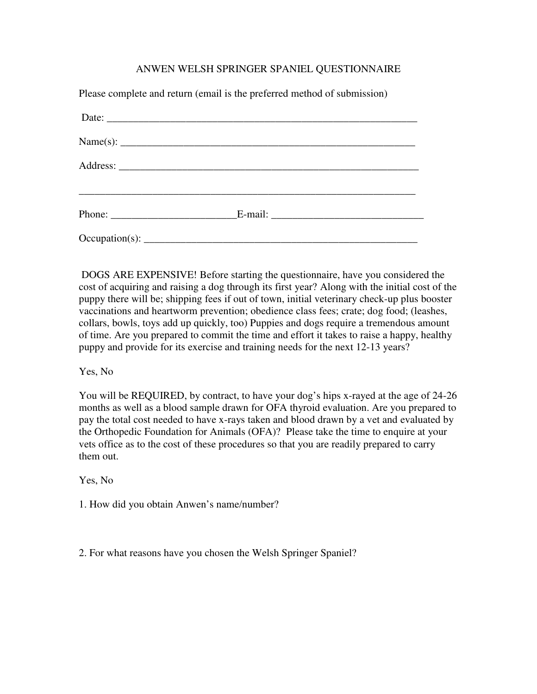## ANWEN WELSH SPRINGER SPANIEL QUESTIONNAIRE

| Please complete and return (email is the preferred method of submission) |  |
|--------------------------------------------------------------------------|--|
|                                                                          |  |
|                                                                          |  |
|                                                                          |  |
|                                                                          |  |
|                                                                          |  |

 DOGS ARE EXPENSIVE! Before starting the questionnaire, have you considered the cost of acquiring and raising a dog through its first year? Along with the initial cost of the puppy there will be; shipping fees if out of town, initial veterinary check-up plus booster vaccinations and heartworm prevention; obedience class fees; crate; dog food; (leashes, collars, bowls, toys add up quickly, too) Puppies and dogs require a tremendous amount of time. Are you prepared to commit the time and effort it takes to raise a happy, healthy puppy and provide for its exercise and training needs for the next 12-13 years?

## Yes, No

You will be REQUIRED, by contract, to have your dog's hips x-rayed at the age of 24-26 months as well as a blood sample drawn for OFA thyroid evaluation. Are you prepared to pay the total cost needed to have x-rays taken and blood drawn by a vet and evaluated by the Orthopedic Foundation for Animals (OFA)? Please take the time to enquire at your vets office as to the cost of these procedures so that you are readily prepared to carry them out.

Yes, No

1. How did you obtain Anwen's name/number?

2. For what reasons have you chosen the Welsh Springer Spaniel?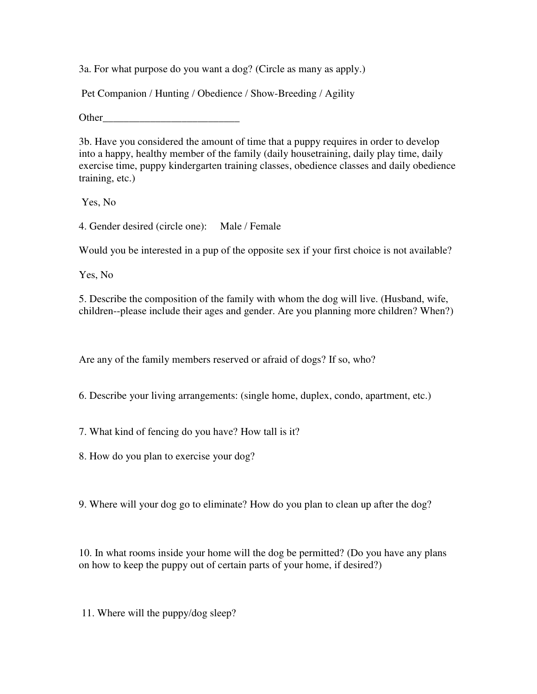3a. For what purpose do you want a dog? (Circle as many as apply.)

Pet Companion / Hunting / Obedience / Show-Breeding / Agility

Other

3b. Have you considered the amount of time that a puppy requires in order to develop into a happy, healthy member of the family (daily housetraining, daily play time, daily exercise time, puppy kindergarten training classes, obedience classes and daily obedience training, etc.)

Yes, No

4. Gender desired (circle one): Male / Female

Would you be interested in a pup of the opposite sex if your first choice is not available?

Yes, No

5. Describe the composition of the family with whom the dog will live. (Husband, wife, children--please include their ages and gender. Are you planning more children? When?)

Are any of the family members reserved or afraid of dogs? If so, who?

6. Describe your living arrangements: (single home, duplex, condo, apartment, etc.)

7. What kind of fencing do you have? How tall is it?

8. How do you plan to exercise your dog?

9. Where will your dog go to eliminate? How do you plan to clean up after the dog?

10. In what rooms inside your home will the dog be permitted? (Do you have any plans on how to keep the puppy out of certain parts of your home, if desired?)

11. Where will the puppy/dog sleep?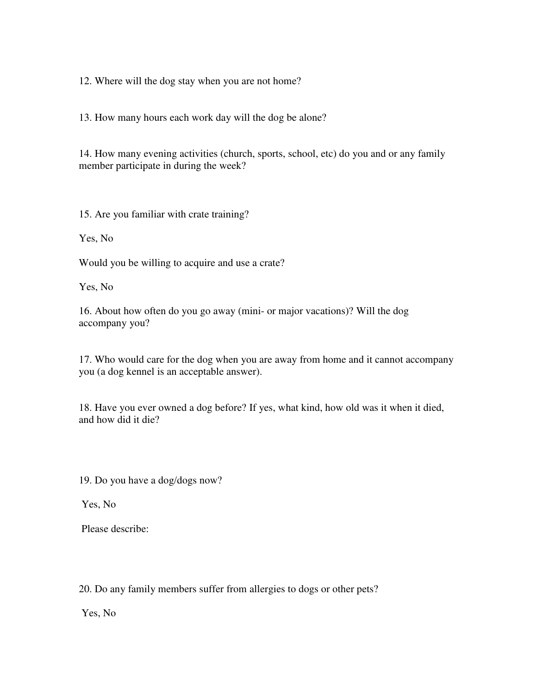12. Where will the dog stay when you are not home?

13. How many hours each work day will the dog be alone?

14. How many evening activities (church, sports, school, etc) do you and or any family member participate in during the week?

15. Are you familiar with crate training?

Yes, No

Would you be willing to acquire and use a crate?

Yes, No

16. About how often do you go away (mini- or major vacations)? Will the dog accompany you?

17. Who would care for the dog when you are away from home and it cannot accompany you (a dog kennel is an acceptable answer).

18. Have you ever owned a dog before? If yes, what kind, how old was it when it died, and how did it die?

19. Do you have a dog/dogs now?

Yes, No

Please describe:

20. Do any family members suffer from allergies to dogs or other pets?

Yes, No